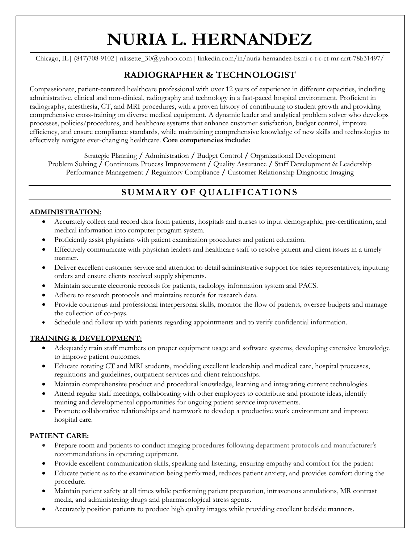# **NURIA L. HERNANDEZ**

Chicago, IL| (847)708-9102**|** nlissette\_30@yahoo.com| linkedin.com/in/nuria-hernandez-bsmi-r-t-r-ct-mr-arrt-78b31497/

# **RADIOGRAPHER & TECHNOLOGIST**

Compassionate, patient-centered healthcare professional with over 12 years of experience in different capacities, including administrative, clinical and non-clinical, radiography and technology in a fast-paced hospital environment. Proficient in radiography, anesthesia, CT, and MRI procedures, with a proven history of contributing to student growth and providing comprehensive cross-training on diverse medical equipment. A dynamic leader and analytical problem solver who develops processes, policies/procedures, and healthcare systems that enhance customer satisfaction, budget control, improve efficiency, and ensure compliance standards, while maintaining comprehensive knowledge of new skills and technologies to effectively navigate ever-changing healthcare. **Core competencies include:**

Strategic Planning **/** Administration **/** Budget Control **/** Organizational Development Problem Solving **/** Continuous Process Improvement **/** Quality Assurance **/** Staff Development & Leadership Performance Management **/** Regulatory Compliance **/** Customer Relationship Diagnostic Imaging

# **SUMMARY OF QUALIFICATIONS**

#### **ADMINISTRATION:**

- Accurately collect and record data from patients, hospitals and nurses to input demographic, pre-certification, and medical information into computer program system.
- Proficiently assist physicians with patient examination procedures and patient education.
- Effectively communicate with physician leaders and healthcare staff to resolve patient and client issues in a timely manner.
- Deliver excellent customer service and attention to detail administrative support for sales representatives; inputting orders and ensure clients received supply shipments.
- Maintain accurate electronic records for patients, radiology information system and PACS.
- Adhere to research protocols and maintains records for research data.
- Provide courteous and professional interpersonal skills, monitor the flow of patients, oversee budgets and manage the collection of co-pays.
- Schedule and follow up with patients regarding appointments and to verify confidential information.

#### **TRAINING & DEVELOPMENT:**

- Adequately train staff members on proper equipment usage and software systems, developing extensive knowledge to improve patient outcomes.
- Educate rotating CT and MRI students, modeling excellent leadership and medical care, hospital processes, regulations and guidelines, outpatient services and client relationships.
- Maintain comprehensive product and procedural knowledge, learning and integrating current technologies.
- Attend regular staff meetings, collaborating with other employees to contribute and promote ideas, identify training and developmental opportunities for ongoing patient service improvements.
- Promote collaborative relationships and teamwork to develop a productive work environment and improve hospital care.

#### **PATIENT CARE:**

- Prepare room and patients to conduct imaging procedures following department protocols and manufacturer's recommendations in operating equipment.
- Provide excellent communication skills, speaking and listening, ensuring empathy and comfort for the patient
- Educate patient as to the examination being performed, reduces patient anxiety, and provides comfort during the procedure.
- Maintain patient safety at all times while performing patient preparation, intravenous annulations, MR contrast media, and administering drugs and pharmacological stress agents.
- Accurately position patients to produce high quality images while providing excellent bedside manners.